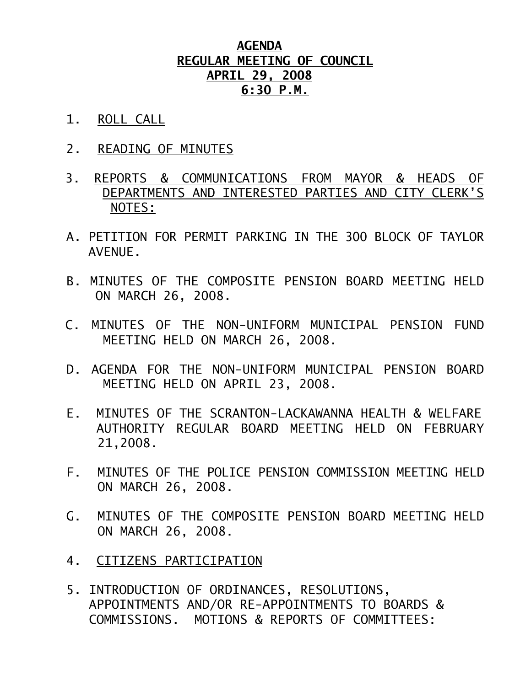## **AGENDA REGULAR MEETING OF COUNCIL APRIL 29, 2008 6:30 P.M.**

- 1. ROLL CALL
- 2. READING OF MINUTES
- 3. REPORTS & COMMUNICATIONS FROM MAYOR & HEADS OF DEPARTMENTS AND INTERESTED PARTIES AND CITY CLERK'S NOTES:
- A. PETITION FOR PERMIT PARKING IN THE 300 BLOCK OF TAYLOR AVENUE.
- B. MINUTES OF THE COMPOSITE PENSION BOARD MEETING HELD ON MARCH 26, 2008.
- C. MINUTES OF THE NON-UNIFORM MUNICIPAL PENSION FUND MEETING HELD ON MARCH 26, 2008.
- D. AGENDA FOR THE NON-UNIFORM MUNICIPAL PENSION BOARD MEETING HELD ON APRIL 23, 2008.
- E. MINUTES OF THE SCRANTON-LACKAWANNA HEALTH & WELFARE AUTHORITY REGULAR BOARD MEETING HELD ON FEBRUARY 21,2008.
- F. MINUTES OF THE POLICE PENSION COMMISSION MEETING HELD ON MARCH 26, 2008.
- G. MINUTES OF THE COMPOSITE PENSION BOARD MEETING HELD ON MARCH 26, 2008.
- 4. CITIZENS PARTICIPATION
- 5. INTRODUCTION OF ORDINANCES, RESOLUTIONS, APPOINTMENTS AND/OR RE-APPOINTMENTS TO BOARDS & COMMISSIONS. MOTIONS & REPORTS OF COMMITTEES: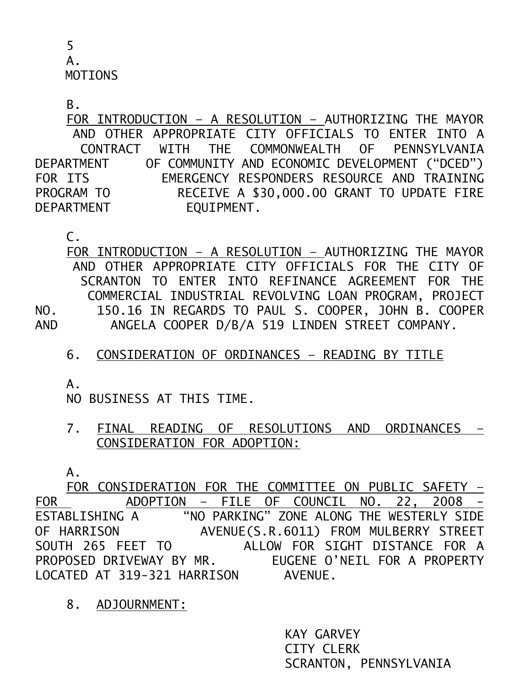5 A. MOTIONS

B.

 FOR INTRODUCTION – A RESOLUTION – AUTHORIZING THE MAYOR AND OTHER APPROPRIATE CITY OFFICIALS TO ENTER INTO A CONTRACT WITH THE COMMONWEALTH OF PENNSYLVANIA DEPARTMENT OF COMMUNITY AND ECONOMIC DEVELOPMENT ("DCED") FOR ITS EMERGENCY RESPONDERS RESOURCE AND TRAINING RECEIVE A \$30,000.00 GRANT TO UPDATE FIRE PROGRAM TO RECEIVE A \$3<br>DEPARTMENT EQUIPMENT.

C.

 FOR INTRODUCTION – A RESOLUTION – AUTHORIZING THE MAYOR AND OTHER APPROPRIATE CITY OFFICIALS FOR THE CITY OF SCRANTON TO ENTER INTO REFINANCE AGREEMENT FOR THE COMMERCIAL INDUSTRIAL REVOLVING LOAN PROGRAM, PROJECT NO. 150.16 IN REGARDS TO PAUL S. COOPER, JOHN B. COOPER AND ANGELA COOPER D/B/A 519 LINDEN STREET COMPANY.

6. CONSIDERATION OF ORDINANCES – READING BY TITLE

A.

NO BUSINESS AT THIS TIME.

7. FINAL READING OF RESOLUTIONS AND ORDINANCES – CONSIDERATION FOR ADOPTION:

A.

 FOR CONSIDERATION FOR THE COMMITTEE ON PUBLIC SAFETY – FOR ADOPTION – FILE OF COUNCIL NO. 22, 2008 - ESTABLISHING A "NO PARKING" ZONE ALONG THE WESTERLY SIDE OF HARRISON AVENUE(S.R.6011) FROM MULBERRY STREET SOUTH 265 FEET TO ALLOW FOR SIGHT DISTANCE FOR A PROPOSED DRIVEWAY BY MR. EUGENE O'NEIL FOR A PROPERTY LOCATED AT 319-321 HARRISON AVENUE.

8. ADJOURNMENT:

 KAY GARVEY CITY CLERK SCRANTON, PENNSYLVANIA